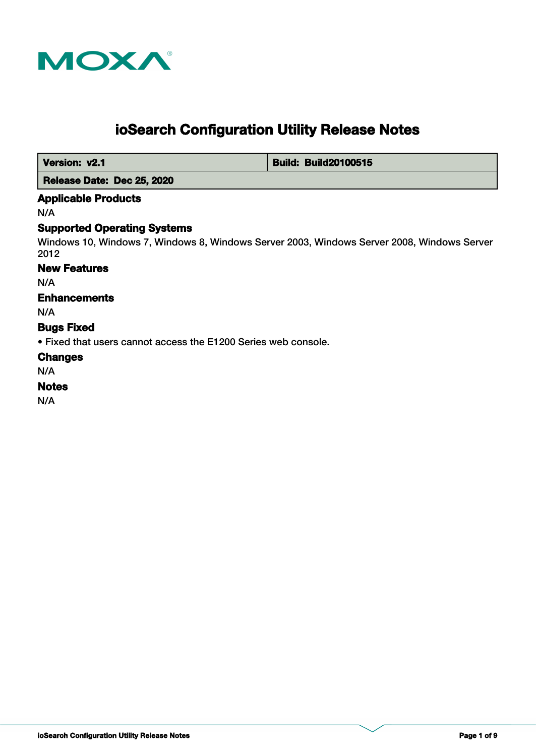

# **ioSearch Configuration Utility Release Notes**

 **Version: v2.1 Build: Build: Build20100515** 

 **Release Date: Dec 25, 2020**

# **Applicable Products**

N/A

# **Supported Operating Systems**

Windows 10, Windows 7, Windows 8, Windows Server 2003, Windows Server 2008, Windows Server 2012

#### **New Features**

N/A

# **Enhancements**

N/A

**Bugs Fixed**

• Fixed that users cannot access the E1200 Series web console.

# **Changes**

N/A

# **Notes**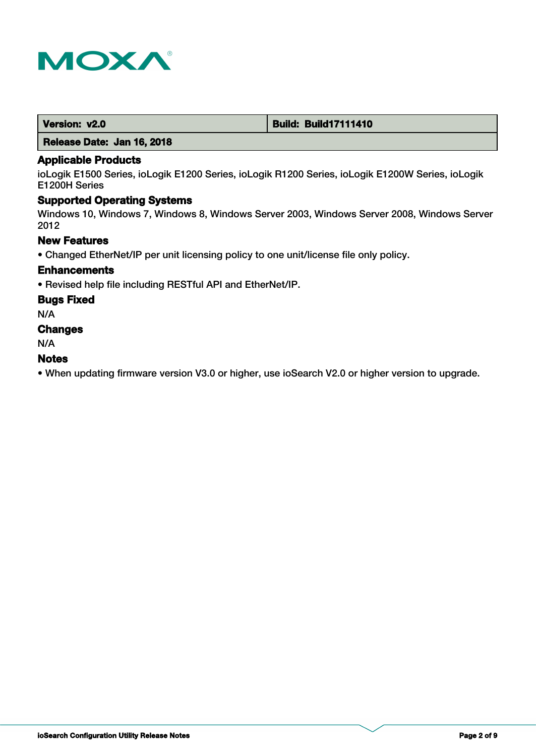

| Version: v2.0 | <b>Build: Build17111410</b> |
|---------------|-----------------------------|
|---------------|-----------------------------|

 **Release Date: Jan 16, 2018**

# **Applicable Products**

ioLogik E1500 Series, ioLogik E1200 Series, ioLogik R1200 Series, ioLogik E1200W Series, ioLogik E1200H Series

# **Supported Operating Systems**

Windows 10, Windows 7, Windows 8, Windows Server 2003, Windows Server 2008, Windows Server 2012

# **New Features**

• Changed EtherNet/IP per unit licensing policy to one unit/license file only policy.

#### **Enhancements**

• Revised help file including RESTful API and EtherNet/IP.

#### **Bugs Fixed**

N/A

# **Changes**

N/A

#### **Notes**

• When updating firmware version V3.0 or higher, use ioSearch V2.0 or higher version to upgrade.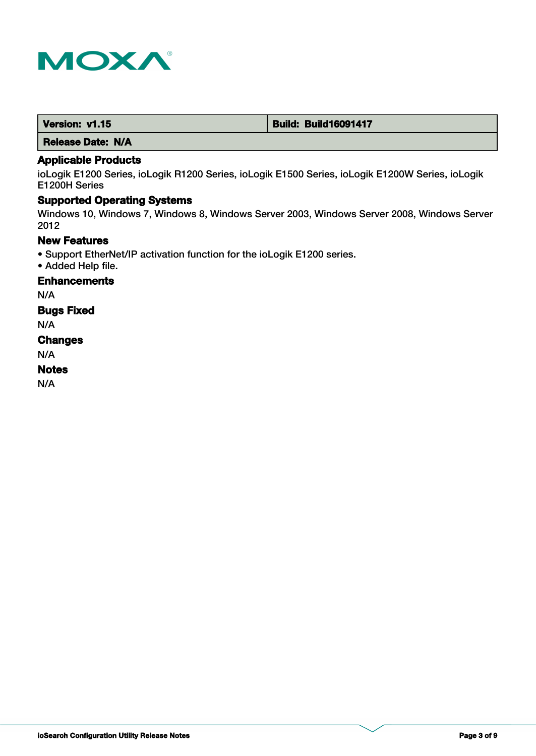

| Version: v1.15 | <b>Build: Build16091417</b> |
|----------------|-----------------------------|
|                |                             |

 **Release Date: N/A**

# **Applicable Products**

ioLogik E1200 Series, ioLogik R1200 Series, ioLogik E1500 Series, ioLogik E1200W Series, ioLogik E1200H Series

# **Supported Operating Systems**

Windows 10, Windows 7, Windows 8, Windows Server 2003, Windows Server 2008, Windows Server 2012

# **New Features**

- Support EtherNet/IP activation function for the ioLogik E1200 series.
- Added Help file.

**Enhancements**

N/A

**Bugs Fixed**

N/A

#### **Changes**

N/A

#### **Notes**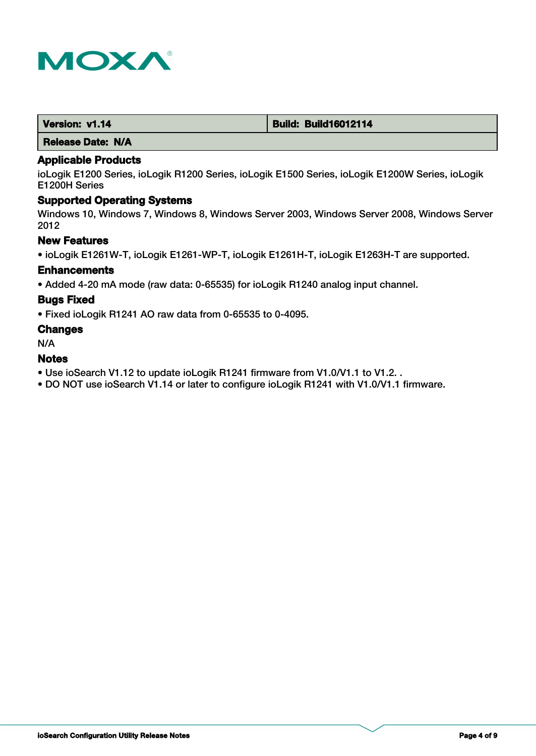

| Version: v1.14 | <b>Build: Build16012114</b> |
|----------------|-----------------------------|
|                |                             |

 **Release Date: N/A**

#### **Applicable Products**

ioLogik E1200 Series, ioLogik R1200 Series, ioLogik E1500 Series, ioLogik E1200W Series, ioLogik E1200H Series

# **Supported Operating Systems**

Windows 10, Windows 7, Windows 8, Windows Server 2003, Windows Server 2008, Windows Server 2012

# **New Features**

• ioLogik E1261W-T, ioLogik E1261-WP-T, ioLogik E1261H-T, ioLogik E1263H-T are supported.

#### **Enhancements**

• Added 4-20 mA mode (raw data: 0-65535) for ioLogik R1240 analog input channel.

#### **Bugs Fixed**

• Fixed ioLogik R1241 AO raw data from 0-65535 to 0-4095.

#### **Changes**

N/A

#### **Notes**

- Use ioSearch V1.12 to update ioLogik R1241 firmware from V1.0/V1.1 to V1.2. .
- DO NOT use ioSearch V1.14 or later to configure ioLogik R1241 with V1.0/V1.1 firmware.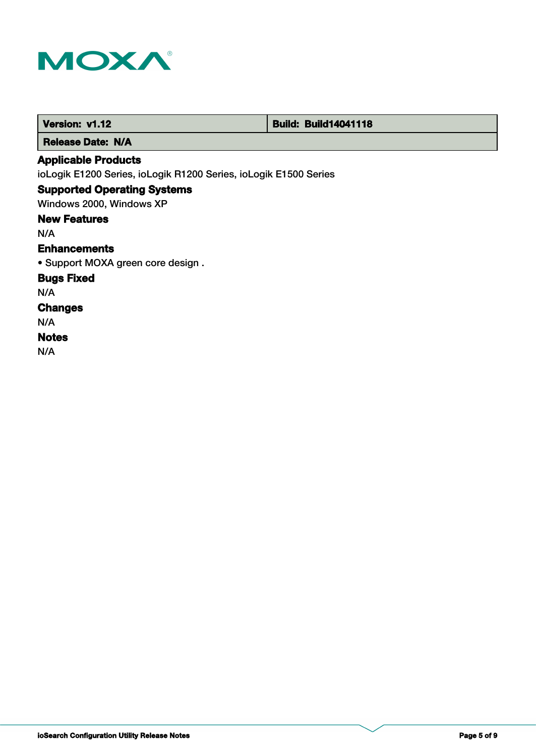

| Version: v1.12                                                   | <b>Build: Build14041118</b> |
|------------------------------------------------------------------|-----------------------------|
| <b>Release Date: N/A</b>                                         |                             |
| <b>Applicable Products</b>                                       |                             |
| ioLogik E1200 Series, ioLogik R1200 Series, ioLogik E1500 Series |                             |
| <b>Supported Operating Systems</b>                               |                             |
| Windows 2000, Windows XP                                         |                             |
| <b>New Features</b>                                              |                             |
| N/A                                                              |                             |
| <b>Enhancements</b>                                              |                             |
| • Support MOXA green core design.                                |                             |
| <b>Bugs Fixed</b>                                                |                             |
| N/A                                                              |                             |
| <b>Changes</b>                                                   |                             |
| N/A                                                              |                             |
| <b>Notes</b>                                                     |                             |
| N/A                                                              |                             |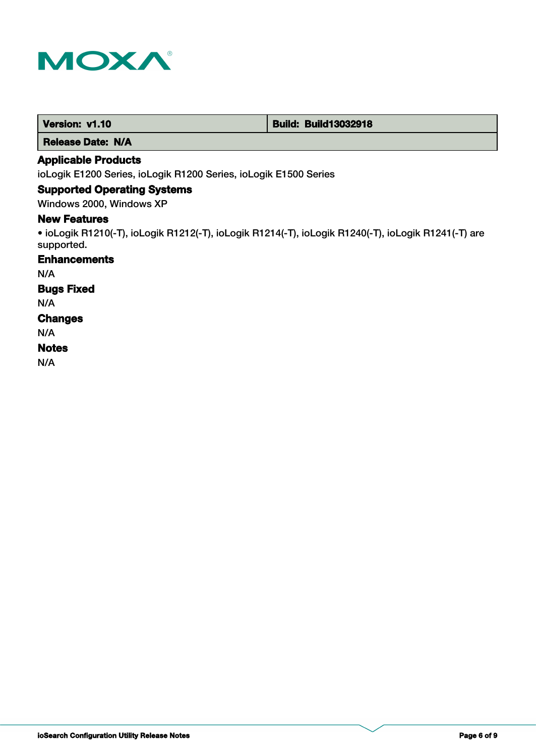

 **Release Date: N/A**

# **Applicable Products**

ioLogik E1200 Series, ioLogik R1200 Series, ioLogik E1500 Series

# **Supported Operating Systems**

Windows 2000, Windows XP

# **New Features**

• ioLogik R1210(-T), ioLogik R1212(-T), ioLogik R1214(-T), ioLogik R1240(-T), ioLogik R1241(-T) are supported.

# **Enhancements**

N/A

# **Bugs Fixed**

N/A

#### **Changes**

N/A

#### **Notes**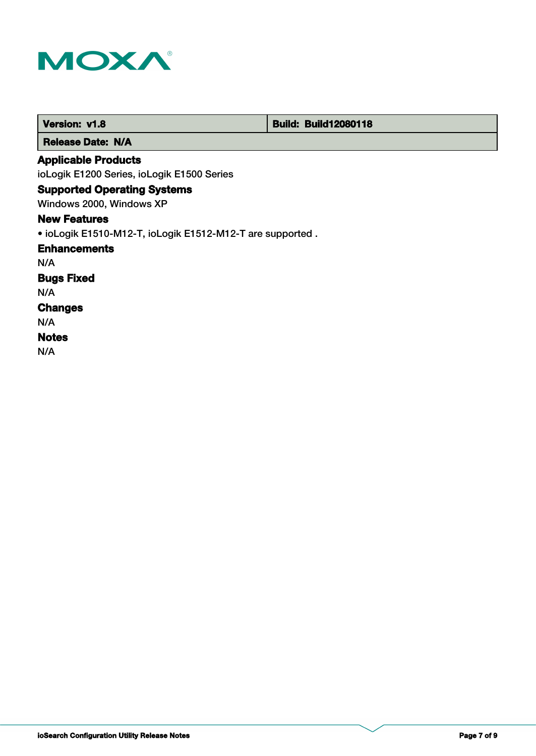

| <b>Version: v1.8</b>                                      | <b>Build: Build12080118</b> |  |
|-----------------------------------------------------------|-----------------------------|--|
| <b>Release Date: N/A</b>                                  |                             |  |
| <b>Applicable Products</b>                                |                             |  |
| ioLogik E1200 Series, ioLogik E1500 Series                |                             |  |
| <b>Supported Operating Systems</b>                        |                             |  |
| Windows 2000, Windows XP                                  |                             |  |
| <b>New Features</b>                                       |                             |  |
| • ioLogik E1510-M12-T, ioLogik E1512-M12-T are supported. |                             |  |
| <b>Enhancements</b>                                       |                             |  |
| N/A                                                       |                             |  |
| <b>Bugs Fixed</b>                                         |                             |  |
| N/A                                                       |                             |  |
| <b>Changes</b>                                            |                             |  |
| N/A                                                       |                             |  |
| <b>Notes</b>                                              |                             |  |
| N/A                                                       |                             |  |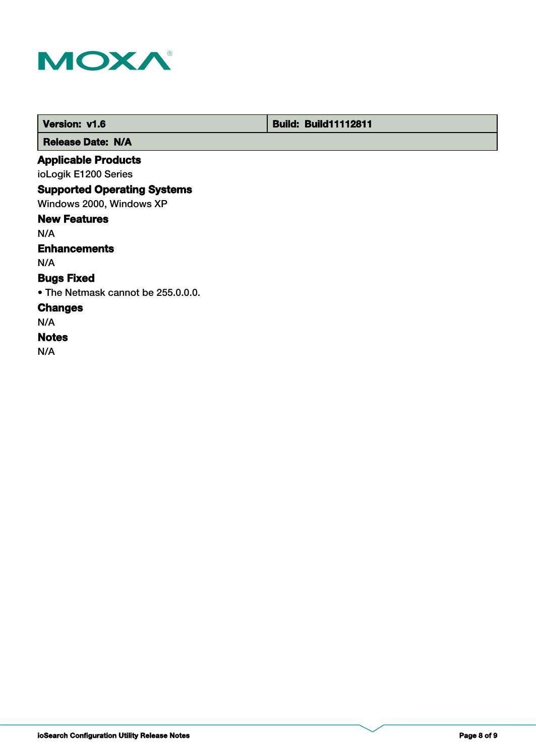

 **Version: v1.6 Build: Build: Build11112811** 

 **Release Date: N/A**

# **Applicable Products**

ioLogik E1200 Series

# **Supported Operating Systems**

Windows 2000, Windows XP

#### **New Features**

N/A

# **Enhancements**

N/A

# **Bugs Fixed**

• The Netmask cannot be 255.0.0.0.

# **Changes**

N/A

# **Notes**